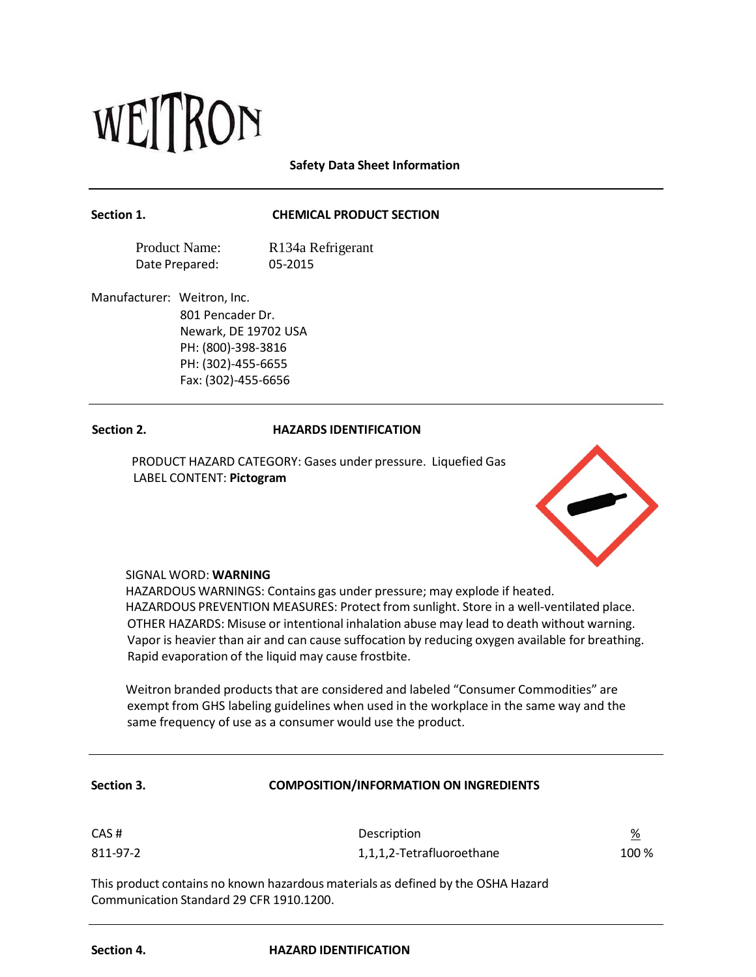# WEITRON

**Safety Data Sheet Information**

## **Section 1. CHEMICAL PRODUCT SECTION**

Product Name: Date Prepared: R134a Refrigerant 05-2015

Manufacturer: Weitron, Inc.

801 Pencader Dr. Newark, DE 19702 USA PH: (800)-398-3816 PH: (302)-455-6655 Fax: (302)-455-6656

# **Section 2. HAZARDS IDENTIFICATION**

PRODUCT HAZARD CATEGORY: Gases under pressure. Liquefied Gas LABEL CONTENT: **Pictogram**



# SIGNAL WORD: **WARNING**

HAZARDOUS WARNINGS: Contains gas under pressure; may explode if heated. HAZARDOUS PREVENTION MEASURES: Protect from sunlight. Store in a well-ventilated place. OTHER HAZARDS: Misuse or intentional inhalation abuse may lead to death without warning. Vapor is heavier than air and can cause suffocation by reducing oxygen available for breathing. Rapid evaporation of the liquid may cause frostbite.

Weitron branded products that are considered and labeled "Consumer Commodities" are exempt from GHS labeling guidelines when used in the workplace in the same way and the same frequency of use as a consumer would use the product.

| <b>Section 3.</b> | <b>COMPOSITION/INFORMATION ON INGREDIENTS</b> |
|-------------------|-----------------------------------------------|
|                   |                                               |

| CAS#     | Description               | <u>%</u> |
|----------|---------------------------|----------|
| 811-97-2 | 1,1,1,2-Tetrafluoroethane | 100 %    |

This product contains no known hazardous materials as defined by the OSHA Hazard Communication Standard 29 CFR 1910.1200.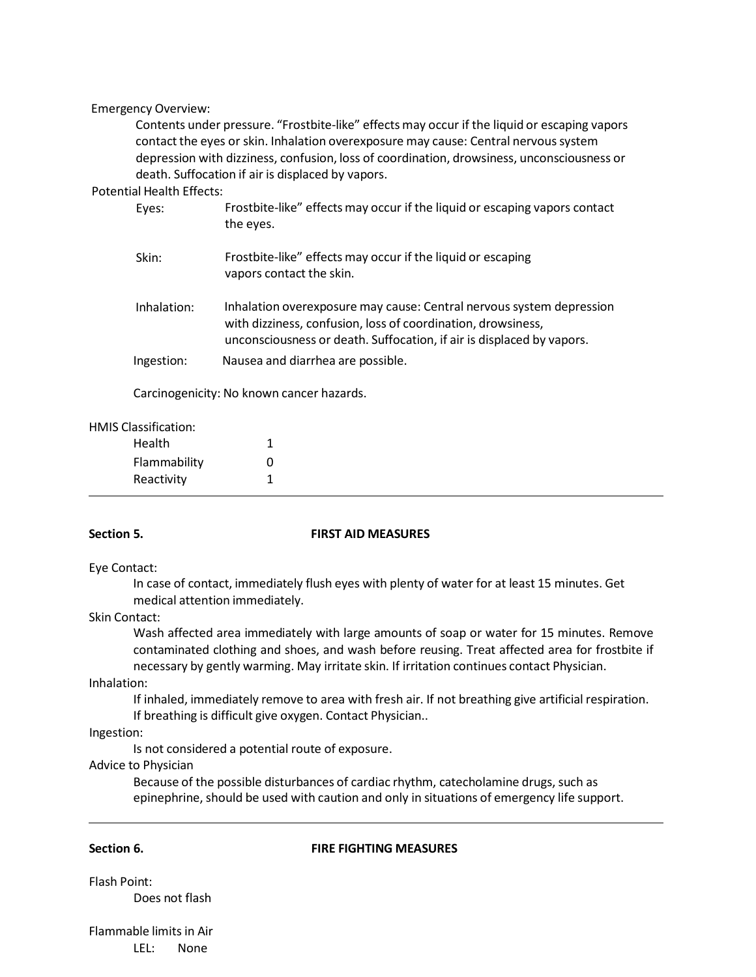### Emergency Overview:

Contents under pressure. "Frostbite-like" effects may occur if the liquid or escaping vapors contact the eyes or skin. Inhalation overexposure may cause: Central nervoussystem depression with dizziness, confusion, loss of coordination, drowsiness, unconsciousness or death. Suffocation if air is displaced by vapors.

## Potential Health Effects:

| Eyes:       | Frostbite-like" effects may occur if the liquid or escaping vapors contact<br>the eyes.                                                                                                                       |
|-------------|---------------------------------------------------------------------------------------------------------------------------------------------------------------------------------------------------------------|
| Skin:       | Frostbite-like" effects may occur if the liquid or escaping<br>vapors contact the skin.                                                                                                                       |
| Inhalation: | Inhalation overexposure may cause: Central nervous system depression<br>with dizziness, confusion, loss of coordination, drowsiness,<br>unconsciousness or death. Suffocation, if air is displaced by vapors. |
| Ingestion:  | Nausea and diarrhea are possible.                                                                                                                                                                             |

Carcinogenicity: No known cancer hazards.

# HMIS Classification:

| Health       |   |
|--------------|---|
| Flammability | O |
| Reactivity   |   |

### **Section 5. FIRST AID MEASURES**

### Eye Contact:

In case of contact, immediately flush eyes with plenty of water for at least 15 minutes. Get medical attention immediately.

### Skin Contact:

Wash affected area immediately with large amounts of soap or water for 15 minutes. Remove contaminated clothing and shoes, and wash before reusing. Treat affected area for frostbite if necessary by gently warming. May irritate skin. If irritation continues contact Physician.

### Inhalation:

If inhaled, immediately remove to area with fresh air. If not breathing give artificial respiration. If breathing is difficult give oxygen. Contact Physician..

Ingestion:

Is not considered a potential route of exposure.

Advice to Physician

Because of the possible disturbances of cardiac rhythm, catecholamine drugs, such as epinephrine, should be used with caution and only in situations of emergency life support.

### **Section 6. FIRE FIGHTING MEASURES**

Flash Point: Does not flash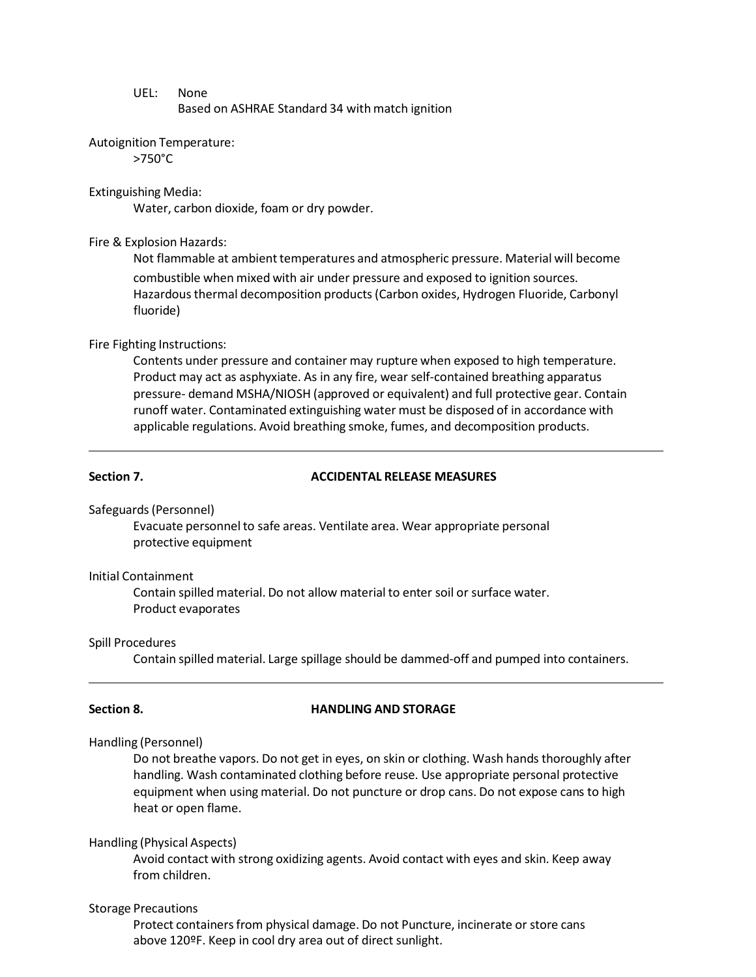### UEL: None

Based on ASHRAE Standard 34 with match ignition

### Autoignition Temperature:

>750°C

### Extinguishing Media:

Water, carbon dioxide, foam or dry powder.

### Fire & Explosion Hazards:

Not flammable at ambient temperatures and atmospheric pressure. Material will become combustible when mixed with air under pressure and exposed to ignition sources. Hazardous thermal decomposition products (Carbon oxides, Hydrogen Fluoride, Carbonyl fluoride)

### Fire Fighting Instructions:

Contents under pressure and container may rupture when exposed to high temperature. Product may act as asphyxiate. As in any fire, wear self-contained breathing apparatus pressure- demand MSHA/NIOSH (approved or equivalent) and full protective gear. Contain runoff water. Contaminated extinguishing water must be disposed of in accordance with applicable regulations. Avoid breathing smoke, fumes, and decomposition products.

### **Section 7. ACCIDENTAL RELEASE MEASURES**

Safeguards (Personnel)

Evacuate personnel to safe areas. Ventilate area. Wear appropriate personal protective equipment

### Initial Containment

Contain spilled material. Do not allow material to enter soil or surface water. Product evaporates

### Spill Procedures

Contain spilled material. Large spillage should be dammed-off and pumped into containers.

# **Section 8. HANDLING AND STORAGE**

Handling (Personnel)

Do not breathe vapors. Do not get in eyes, on skin or clothing. Wash hands thoroughly after handling. Wash contaminated clothing before reuse. Use appropriate personal protective equipment when using material. Do not puncture or drop cans. Do not expose cans to high heat or open flame.

### Handling (Physical Aspects)

Avoid contact with strong oxidizing agents. Avoid contact with eyes and skin. Keep away from children.

### Storage Precautions

above 120ºF. Keep in cool dry area out of direct sunlight. Protect containers from physical damage. Do not Puncture, incinerate or store cans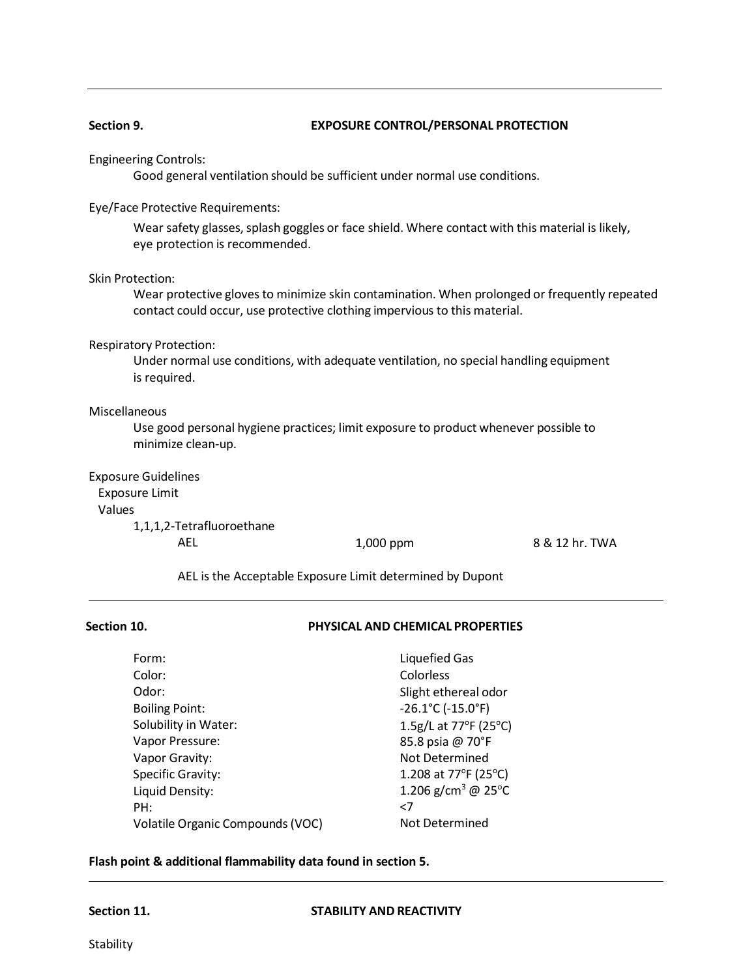# **Section 9. EXPOSURE CONTROL/PERSONAL PROTECTION**

## Engineering Controls:

Good general ventilation should be sufficient under normal use conditions.

# Eye/Face Protective Requirements:

Wear safety glasses, splash goggles or face shield. Where contact with this material is likely, eye protection is recommended.

### Skin Protection:

Wear protective gloves to minimize skin contamination. When prolonged or frequently repeated contact could occur, use protective clothing impervious to this material.

Respiratory Protection:

Under normal use conditions, with adequate ventilation, no special handling equipment is required.

# Miscellaneous

Use good personal hygiene practices; limit exposure to product whenever possible to minimize clean-up.

# Exposure Guidelines Exposure Limit Values

1,1,1,2-Tetrafluoroethane

AEL 1,000 ppm 8 & 12 hr. TWA

AEL is the Acceptable Exposure Limit determined by Dupont

# **Section 10. PHYSICAL AND CHEMICAL PROPERTIES**

| Form:                            | <b>Liquefied Gas</b>                     |
|----------------------------------|------------------------------------------|
| Color:                           | Colorless                                |
| Odor:                            | Slight ethereal odor                     |
| <b>Boiling Point:</b>            | $-26.1^{\circ}$ C ( $-15.0^{\circ}$ F)   |
| Solubility in Water:             | 1.5g/L at 77°F (25°C)                    |
| Vapor Pressure:                  | 85.8 psia @ 70°F                         |
| Vapor Gravity:                   | Not Determined                           |
| Specific Gravity:                | 1.208 at 77 $\degree$ F (25 $\degree$ C) |
| Liquid Density:                  | 1.206 g/cm <sup>3</sup> @ 25°C           |
| PH:                              | $<$ 7                                    |
| Volatile Organic Compounds (VOC) | Not Determined                           |

# **Flash point & additional flammability data found in section 5.**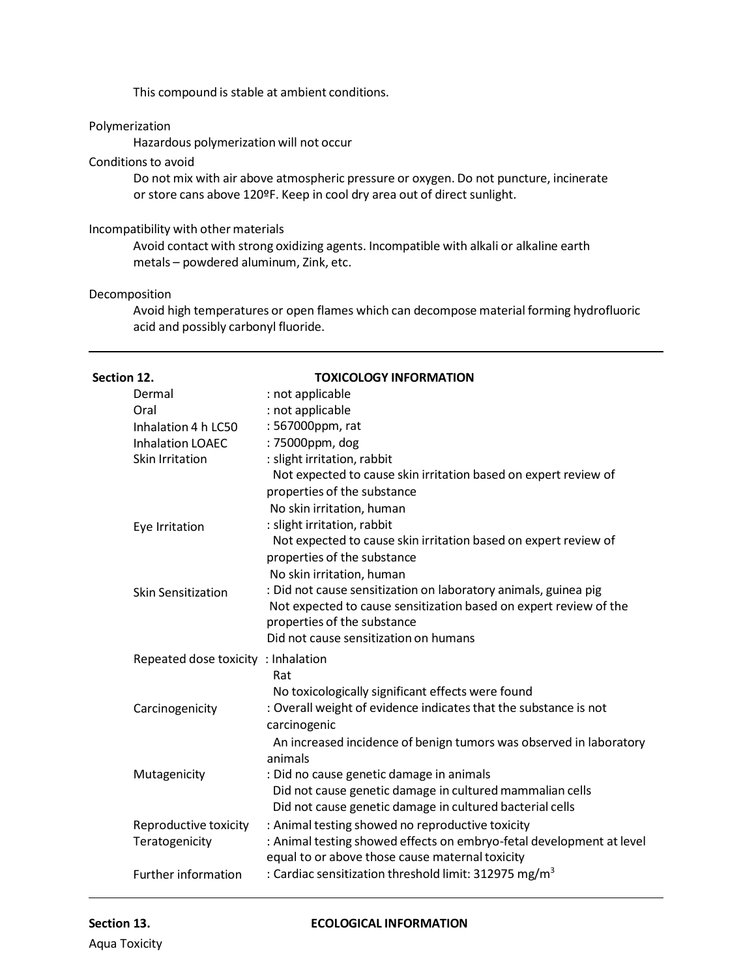This compound is stable at ambient conditions.

# Polymerization

Hazardous polymerization will not occur

# Conditions to avoid

Do not mix with air above atmospheric pressure or oxygen. Do not puncture, incinerate or store cans above 120ºF. Keep in cool dry area out of direct sunlight.

### Incompatibility with other materials

Avoid contact with strong oxidizing agents. Incompatible with alkali or alkaline earth metals – powdered aluminum, Zink, etc.

# Decomposition

Avoid high temperatures or open flames which can decompose material forming hydrofluoric acid and possibly carbonyl fluoride.

| Section 12. |                                                                                                | <b>TOXICOLOGY INFORMATION</b>                                                                                                                                                                                |
|-------------|------------------------------------------------------------------------------------------------|--------------------------------------------------------------------------------------------------------------------------------------------------------------------------------------------------------------|
|             | Dermal                                                                                         | : not applicable                                                                                                                                                                                             |
|             | Oral                                                                                           | : not applicable                                                                                                                                                                                             |
|             | Inhalation 4 h LC50                                                                            | : 567000ppm, rat                                                                                                                                                                                             |
|             | <b>Inhalation LOAEC</b>                                                                        | : 75000ppm, dog                                                                                                                                                                                              |
|             | <b>Skin Irritation</b>                                                                         | : slight irritation, rabbit                                                                                                                                                                                  |
|             |                                                                                                | Not expected to cause skin irritation based on expert review of                                                                                                                                              |
|             |                                                                                                | properties of the substance                                                                                                                                                                                  |
|             |                                                                                                | No skin irritation, human                                                                                                                                                                                    |
|             | Eye Irritation                                                                                 | : slight irritation, rabbit                                                                                                                                                                                  |
|             | Not expected to cause skin irritation based on expert review of<br>properties of the substance |                                                                                                                                                                                                              |
|             | No skin irritation, human                                                                      |                                                                                                                                                                                                              |
|             | <b>Skin Sensitization</b>                                                                      | : Did not cause sensitization on laboratory animals, guinea pig<br>Not expected to cause sensitization based on expert review of the<br>properties of the substance<br>Did not cause sensitization on humans |
|             | Repeated dose toxicity : Inhalation                                                            |                                                                                                                                                                                                              |
|             |                                                                                                | Rat                                                                                                                                                                                                          |
|             |                                                                                                | No toxicologically significant effects were found                                                                                                                                                            |
|             | Carcinogenicity                                                                                | : Overall weight of evidence indicates that the substance is not<br>carcinogenic                                                                                                                             |
|             |                                                                                                | An increased incidence of benign tumors was observed in laboratory<br>animals                                                                                                                                |
|             | Mutagenicity                                                                                   | : Did no cause genetic damage in animals                                                                                                                                                                     |
|             |                                                                                                | Did not cause genetic damage in cultured mammalian cells<br>Did not cause genetic damage in cultured bacterial cells                                                                                         |
|             | Reproductive toxicity                                                                          | : Animal testing showed no reproductive toxicity                                                                                                                                                             |
|             | Teratogenicity                                                                                 | : Animal testing showed effects on embryo-fetal development at level<br>equal to or above those cause maternal toxicity                                                                                      |
|             | <b>Further information</b>                                                                     | : Cardiac sensitization threshold limit: 312975 mg/m <sup>3</sup>                                                                                                                                            |

### **Section 13. ECOLOGICAL INFORMATION**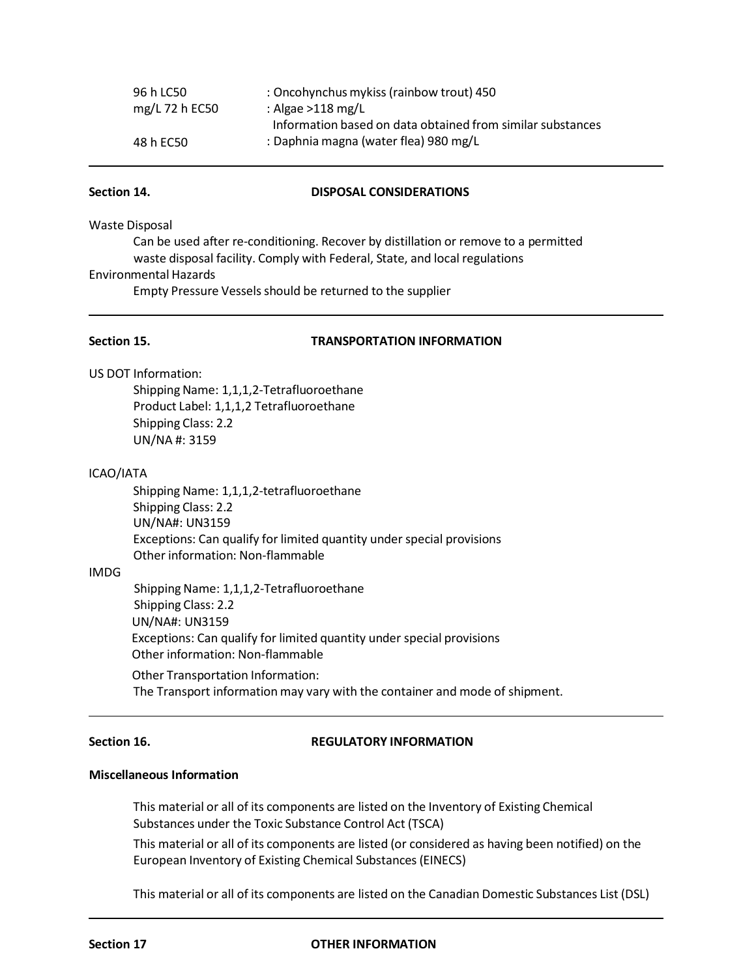| 96 h LC50      | : Oncohynchus mykiss (rainbow trout) 450                   |
|----------------|------------------------------------------------------------|
| mg/L 72 h EC50 | : Algae $>118$ mg/L                                        |
|                | Information based on data obtained from similar substances |
| 48 h EC50      | : Daphnia magna (water flea) 980 mg/L                      |

### **Section 14. DISPOSAL CONSIDERATIONS**

Waste Disposal

Can be used after re-conditioning. Recover by distillation or remove to a permitted waste disposal facility. Comply with Federal, State, and local regulations Environmental Hazards

Empty Pressure Vessels should be returned to the supplier

### **Section 15. TRANSPORTATION INFORMATION**

US DOT Information:

Shipping Name: 1,1,1,2-Tetrafluoroethane Product Label: 1,1,1,2 Tetrafluoroethane Shipping Class: 2.2 UN/NA #: 3159

# ICAO/IATA

Shipping Name: 1,1,1,2-tetrafluoroethane Shipping Class: 2.2 UN/NA#: UN3159 Exceptions: Can qualify for limited quantity under special provisions Other information: Non-flammable

### IMDG

Shipping Name: 1,1,1,2-Tetrafluoroethane Shipping Class: 2.2 UN/NA#: UN3159 Exceptions: Can qualify for limited quantity under special provisions Other information: Non-flammable

Other Transportation Information: The Transport information may vary with the container and mode of shipment.

### **Section 16. REGULATORY INFORMATION**

### **Miscellaneous Information**

This material or all of its components are listed on the Inventory of Existing Chemical Substances under the Toxic Substance Control Act (TSCA)

This material or all of its components are listed (or considered as having been notified) on the European Inventory of Existing Chemical Substances(EINECS)

This material or all of its components are listed on the Canadian Domestic Substances List (DSL)